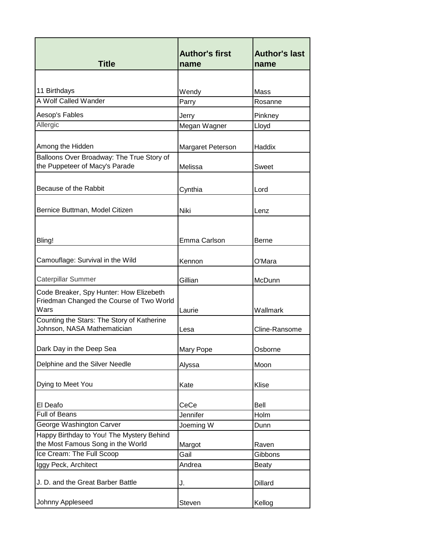|                                                  | <b>Author's first</b> | <b>Author's last</b> |
|--------------------------------------------------|-----------------------|----------------------|
| <b>Title</b>                                     | name                  | name                 |
|                                                  |                       |                      |
| 11 Birthdays                                     | Wendy                 | Mass                 |
| A Wolf Called Wander                             | Parry                 | Rosanne              |
| Aesop's Fables                                   | Jerry                 | Pinkney              |
| Allergic                                         | Megan Wagner          | Lloyd                |
|                                                  |                       |                      |
| Among the Hidden                                 | Margaret Peterson     | Haddix               |
| Balloons Over Broadway: The True Story of        |                       |                      |
| the Puppeteer of Macy's Parade                   | Melissa               | Sweet                |
|                                                  |                       |                      |
| Because of the Rabbit                            | Cynthia               | Lord                 |
|                                                  |                       |                      |
| Bernice Buttman, Model Citizen                   | Niki                  | Lenz                 |
|                                                  |                       |                      |
| Bling!                                           | Emma Carlson          | <b>Berne</b>         |
|                                                  |                       |                      |
| Camouflage: Survival in the Wild                 | Kennon                | O'Mara               |
|                                                  |                       |                      |
| <b>Caterpillar Summer</b>                        | Gillian               | McDunn               |
| Code Breaker, Spy Hunter: How Elizebeth          |                       |                      |
| Friedman Changed the Course of Two World<br>Wars |                       |                      |
| Counting the Stars: The Story of Katherine       | Laurie                | Wallmark             |
| Johnson, NASA Mathematician                      | Lesa                  | Cline-Ransome        |
|                                                  |                       |                      |
| Dark Day in the Deep Sea                         | Mary Pope             | Osborne              |
| Delphine and the Silver Needle                   | Alyssa                | Moon                 |
|                                                  |                       |                      |
| Dying to Meet You                                | Kate                  | Klise                |
|                                                  |                       |                      |
| El Deafo                                         | CeCe                  | Bell                 |
| <b>Full of Beans</b>                             | Jennifer              | Holm                 |
| George Washington Carver                         | Joeming W             | Dunn                 |
| Happy Birthday to You! The Mystery Behind        |                       |                      |
| the Most Famous Song in the World                | Margot                | Raven                |
| Ice Cream: The Full Scoop                        | Gail                  | Gibbons              |
| Iggy Peck, Architect                             | Andrea                | <b>Beaty</b>         |
| J. D. and the Great Barber Battle                | J.                    | <b>Dillard</b>       |
|                                                  |                       |                      |
| Johnny Appleseed                                 | Steven                | Kellog               |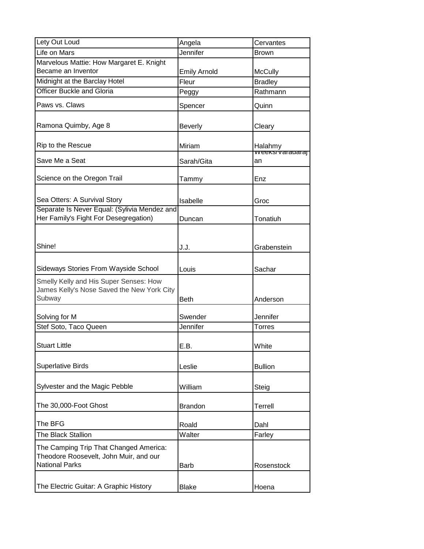| Lety Out Loud                                                                                             | Angela              | Cervantes                              |
|-----------------------------------------------------------------------------------------------------------|---------------------|----------------------------------------|
| Life on Mars                                                                                              | Jennifer            | <b>Brown</b>                           |
| Marvelous Mattie: How Margaret E. Knight                                                                  |                     |                                        |
| Became an Inventor                                                                                        | <b>Emily Arnold</b> | <b>McCully</b>                         |
| Midnight at the Barclay Hotel                                                                             | Fleur               | <b>Bradley</b>                         |
| <b>Officer Buckle and Gloria</b>                                                                          | Peggy               | Rathmann                               |
| Paws vs. Claws                                                                                            | Spencer             | Quinn                                  |
| Ramona Quimby, Age 8                                                                                      | <b>Beverly</b>      | Cleary                                 |
| Rip to the Rescue                                                                                         | Miriam              | Halahmy<br><del>vveeks/varadaraj</del> |
| Save Me a Seat                                                                                            | Sarah/Gita          | an                                     |
| Science on the Oregon Trail                                                                               | Tammy               | Enz                                    |
| Sea Otters: A Survival Story                                                                              | Isabelle            | Groc                                   |
| Separate Is Never Equal: (Sylivia Mendez and                                                              |                     |                                        |
| Her Family's Fight For Desegregation)                                                                     | Duncan              | Tonatiuh                               |
| Shine!                                                                                                    | J.J.                | Grabenstein                            |
| Sideways Stories From Wayside School                                                                      | Louis               | Sachar                                 |
| Smelly Kelly and His Super Senses: How<br>James Kelly's Nose Saved the New York City<br>Subway            | <b>Beth</b>         | Anderson                               |
| Solving for M                                                                                             | Swender             | Jennifer                               |
| Stef Soto, Taco Queen                                                                                     | Jennifer            | <b>Torres</b>                          |
| <b>Stuart Little</b>                                                                                      | FΒ                  | White                                  |
| <b>Superlative Birds</b>                                                                                  | Leslie              | <b>Bullion</b>                         |
| Sylvester and the Magic Pebble                                                                            | William             | Steig                                  |
| The 30,000-Foot Ghost                                                                                     | <b>Brandon</b>      | <b>Terrell</b>                         |
| The BFG                                                                                                   | Roald               | Dahl                                   |
| The Black Stallion                                                                                        | Walter              | Farley                                 |
| The Camping Trip That Changed America:<br>Theodore Roosevelt, John Muir, and our<br><b>National Parks</b> | Barb                | Rosenstock                             |
| The Electric Guitar: A Graphic History                                                                    | <b>Blake</b>        | Hoena                                  |